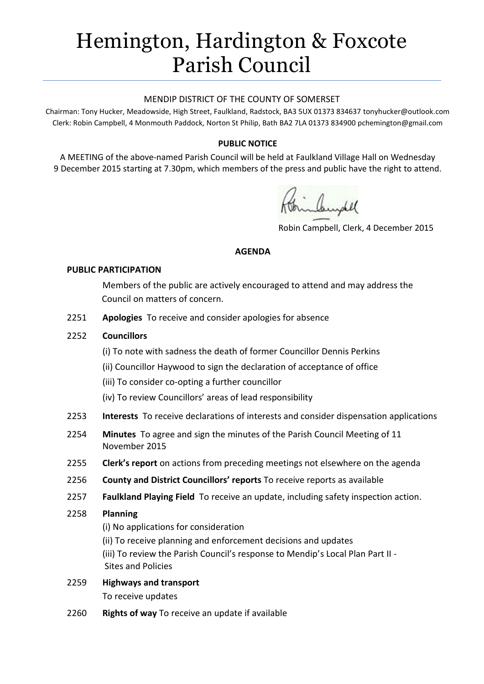# Hemington, Hardington & Foxcote Parish Council

### MENDIP DISTRICT OF THE COUNTY OF SOMERSET

Chairman: Tony Hucker, Meadowside, High Street, Faulkland, Radstock, BA3 5UX 01373 834637 tonyhucker@outlook.com Clerk: Robin Campbell, 4 Monmouth Paddock, Norton St Philip, Bath BA2 7LA 01373 834900 [pchemington@gmail.com](mailto:pchemington@gmail.com)

## **PUBLIC NOTICE**

A MEETING of the above-named Parish Council will be held at Faulkland Village Hall on Wednesday 9 December 2015 starting at 7.30pm, which members of the press and public have the right to attend.

Robin Campbell, Clerk, 4 December 2015

#### **AGENDA**

#### **PUBLIC PARTICIPATION**

Members of the public are actively encouraged to attend and may address the Council on matters of concern.

2251 **Apologies** To receive and consider apologies for absence

## 2252 **Councillors**

- (i) To note with sadness the death of former Councillor Dennis Perkins
- (ii) Councillor Haywood to sign the declaration of acceptance of office
- (iii) To consider co-opting a further councillor
- (iv) To review Councillors' areas of lead responsibility
- 2253 **Interests** To receive declarations of interests and consider dispensation applications
- 2254 **Minutes** To agree and sign the minutes of the Parish Council Meeting of 11 November 2015
- 2255 **Clerk's report** on actions from preceding meetings not elsewhere on the agenda
- 2256 **County and District Councillors' reports** To receive reports as available
- 2257 **Faulkland Playing Field** To receive an update, including safety inspection action.
- 2258 **Planning**
	- (i) No applications for consideration
	- (ii) To receive planning and enforcement decisions and updates

(iii) To review the Parish Council's response to Mendip's Local Plan Part II - Sites and Policies

- 2259 **Highways and transport** To receive updates
- 2260 **Rights of way** To receive an update if available